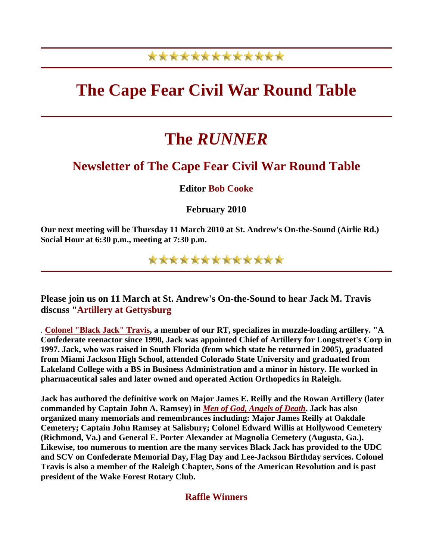### \*\*\*\*\*\*\*\*\*\*\*\*\*

## **The Cape Fear Civil War Round Table**

# **The** *RUNNER*

#### **Newsletter of The Cape Fear Civil War Round Table**

**Editor Bob Cooke**

**February 2010** 

**Our next meeting will be Thursday 11 March 2010 at St. Andrew's On-the-Sound (Airlie Rd.) Social Hour at 6:30 p.m., meeting at 7:30 p.m.**

\*\*\*\*\*\*\*\*\*\*\*\*\*

**Please join us on 11 March at St. Andrew's On-the-Sound to hear Jack M. Travis discuss "Artillery at Gettysburg**

. **[Colonel "Black Jack" Travis,](http://www.alexandersbattalion.com/www/founder.htm) a member of our RT, specializes in muzzle-loading artillery. "A Confederate reenactor since 1990, Jack was appointed Chief of Artillery for Longstreet's Corp in 1997. Jack, who was raised in South Florida (from which state he returned in 2005), graduated from Miami Jackson High School, attended Colorado State University and graduated from Lakeland College with a BS in Business Administration and a minor in history. He worked in pharmaceutical sales and later owned and operated Action Orthopedics in Raleigh.**

**Jack has authored the definitive work on Major James E. Reilly and the Rowan Artillery (later commanded by Captain John A. Ramsey) in** *[Men of God, Angels of Death](http://www.alexandersbattalion.com/www/jacktravis.htm)***. Jack has also organized many memorials and remembrances including: Major James Reilly at Oakdale Cemetery; Captain John Ramsey at Salisbury; Colonel Edward Willis at Hollywood Cemetery (Richmond, Va.) and General E. Porter Alexander at Magnolia Cemetery (Augusta, Ga.). Likewise, too numerous to mention are the many services Black Jack has provided to the UDC and SCV on Confederate Memorial Day, Flag Day and Lee-Jackson Birthday services. Colonel Travis is also a member of the Raleigh Chapter, Sons of the American Revolution and is past president of the Wake Forest Rotary Club.**

**Raffle Winners**